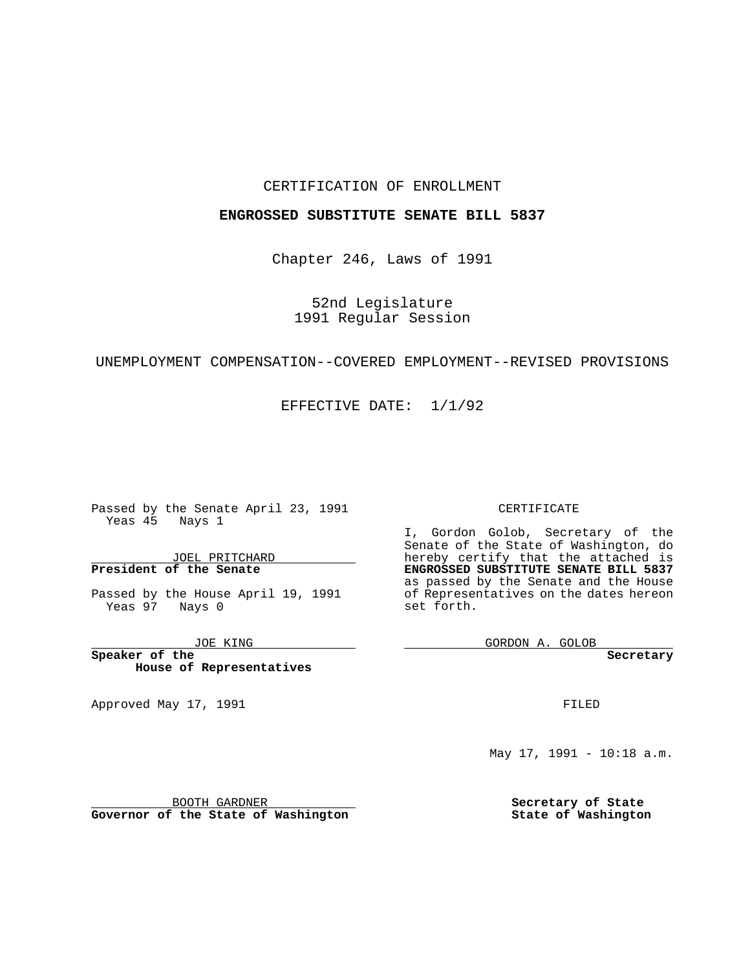## CERTIFICATION OF ENROLLMENT

## **ENGROSSED SUBSTITUTE SENATE BILL 5837**

Chapter 246, Laws of 1991

52nd Legislature 1991 Regular Session

# UNEMPLOYMENT COMPENSATION--COVERED EMPLOYMENT--REVISED PROVISIONS

EFFECTIVE DATE: 1/1/92

 $\frac{1}{2}$  . The set of  $\mathcal{O}(\mathbb{R}^2)$ 

Passed by the Senate April 23, 1991 Yeas 45 Nays 1

JOEL PRITCHARD **President of the Senate**

Passed by the House April 19, 1991 Yeas 97 Nays 0

JOE KING

**Speaker of the House of Representatives**

BOOTH GARDNER **Governor of the State of Washington**

Approved May 17, 1991

#### CERTIFICATE

I, Gordon Golob, Secretary of the Senate of the State of Washington, do hereby certify that the attached is **ENGROSSED SUBSTITUTE SENATE BILL 5837** as passed by the Senate and the House of Representatives on the dates hereon set forth.

GORDON A. GOLOB

**Secretary**

FILED

May 17, 1991 - 10:18 a.m.

**Secretary of State State of Washington**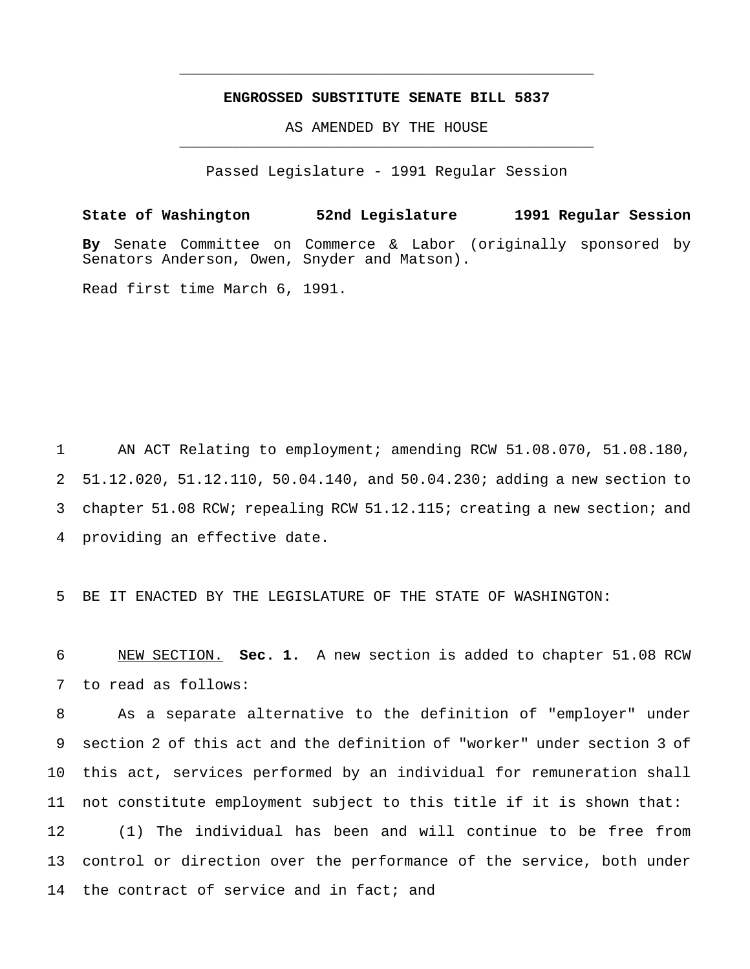## **ENGROSSED SUBSTITUTE SENATE BILL 5837**

\_\_\_\_\_\_\_\_\_\_\_\_\_\_\_\_\_\_\_\_\_\_\_\_\_\_\_\_\_\_\_\_\_\_\_\_\_\_\_\_\_\_\_\_\_\_\_

AS AMENDED BY THE HOUSE \_\_\_\_\_\_\_\_\_\_\_\_\_\_\_\_\_\_\_\_\_\_\_\_\_\_\_\_\_\_\_\_\_\_\_\_\_\_\_\_\_\_\_\_\_\_\_

Passed Legislature - 1991 Regular Session

**State of Washington 52nd Legislature 1991 Regular Session By** Senate Committee on Commerce & Labor (originally sponsored by Senators Anderson, Owen, Snyder and Matson). Read first time March 6, 1991.

 AN ACT Relating to employment; amending RCW 51.08.070, 51.08.180, 51.12.020, 51.12.110, 50.04.140, and 50.04.230; adding a new section to chapter 51.08 RCW; repealing RCW 51.12.115; creating a new section; and providing an effective date.

5 BE IT ENACTED BY THE LEGISLATURE OF THE STATE OF WASHINGTON:

6 NEW SECTION. **Sec. 1.** A new section is added to chapter 51.08 RCW 7 to read as follows:

 As a separate alternative to the definition of "employer" under section 2 of this act and the definition of "worker" under section 3 of this act, services performed by an individual for remuneration shall not constitute employment subject to this title if it is shown that: (1) The individual has been and will continue to be free from control or direction over the performance of the service, both under 14 the contract of service and in fact; and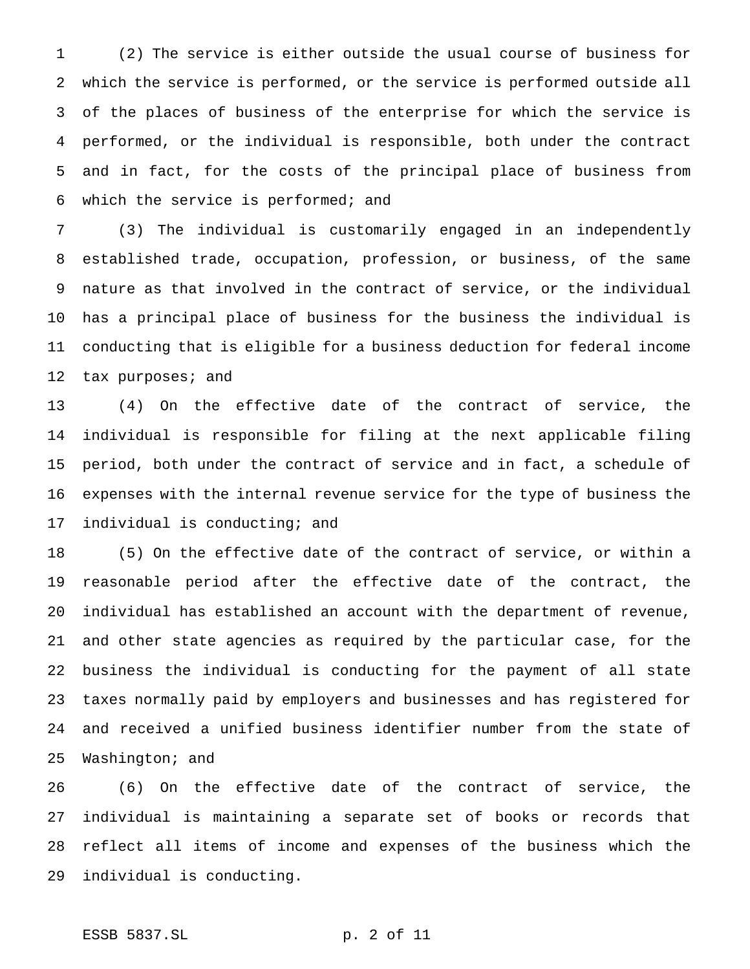(2) The service is either outside the usual course of business for which the service is performed, or the service is performed outside all of the places of business of the enterprise for which the service is performed, or the individual is responsible, both under the contract and in fact, for the costs of the principal place of business from which the service is performed; and

 (3) The individual is customarily engaged in an independently established trade, occupation, profession, or business, of the same nature as that involved in the contract of service, or the individual has a principal place of business for the business the individual is conducting that is eligible for a business deduction for federal income 12 tax purposes; and

 (4) On the effective date of the contract of service, the individual is responsible for filing at the next applicable filing period, both under the contract of service and in fact, a schedule of expenses with the internal revenue service for the type of business the individual is conducting; and

 (5) On the effective date of the contract of service, or within a reasonable period after the effective date of the contract, the individual has established an account with the department of revenue, and other state agencies as required by the particular case, for the business the individual is conducting for the payment of all state taxes normally paid by employers and businesses and has registered for and received a unified business identifier number from the state of Washington; and

 (6) On the effective date of the contract of service, the individual is maintaining a separate set of books or records that reflect all items of income and expenses of the business which the individual is conducting.

# ESSB 5837.SL p. 2 of 11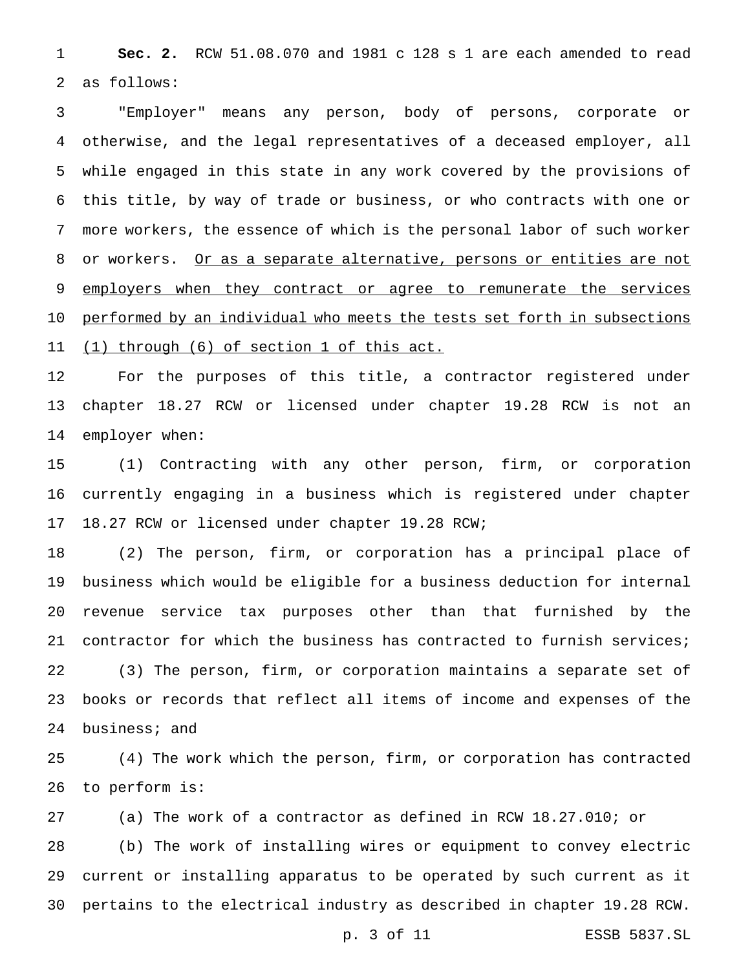**Sec. 2.** RCW 51.08.070 and 1981 c 128 s 1 are each amended to read as follows:

 "Employer" means any person, body of persons, corporate or otherwise, and the legal representatives of a deceased employer, all while engaged in this state in any work covered by the provisions of this title, by way of trade or business, or who contracts with one or more workers, the essence of which is the personal labor of such worker 8 or workers. Or as a separate alternative, persons or entities are not 9 employers when they contract or agree to remunerate the services performed by an individual who meets the tests set forth in subsections 11 (1) through (6) of section 1 of this act.

 For the purposes of this title, a contractor registered under chapter 18.27 RCW or licensed under chapter 19.28 RCW is not an employer when:

 (1) Contracting with any other person, firm, or corporation currently engaging in a business which is registered under chapter 18.27 RCW or licensed under chapter 19.28 RCW;

 (2) The person, firm, or corporation has a principal place of business which would be eligible for a business deduction for internal revenue service tax purposes other than that furnished by the contractor for which the business has contracted to furnish services; (3) The person, firm, or corporation maintains a separate set of books or records that reflect all items of income and expenses of the business; and

 (4) The work which the person, firm, or corporation has contracted to perform is:

(a) The work of a contractor as defined in RCW 18.27.010; or

 (b) The work of installing wires or equipment to convey electric current or installing apparatus to be operated by such current as it pertains to the electrical industry as described in chapter 19.28 RCW.

p. 3 of 11 ESSB 5837.SL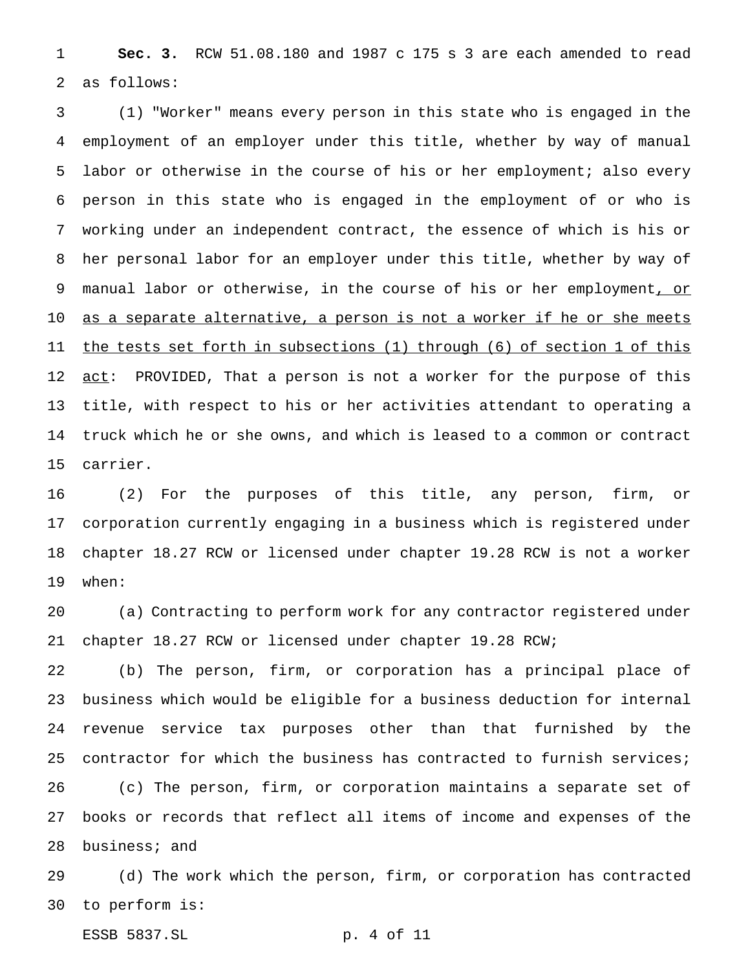**Sec. 3.** RCW 51.08.180 and 1987 c 175 s 3 are each amended to read as follows:

 (1) "Worker" means every person in this state who is engaged in the employment of an employer under this title, whether by way of manual labor or otherwise in the course of his or her employment; also every person in this state who is engaged in the employment of or who is working under an independent contract, the essence of which is his or her personal labor for an employer under this title, whether by way of 9 manual labor or otherwise, in the course of his or her employment, or as a separate alternative, a person is not a worker if he or she meets the tests set forth in subsections (1) through (6) of section 1 of this 12 act: PROVIDED, That a person is not a worker for the purpose of this title, with respect to his or her activities attendant to operating a truck which he or she owns, and which is leased to a common or contract carrier.

 (2) For the purposes of this title, any person, firm, or corporation currently engaging in a business which is registered under chapter 18.27 RCW or licensed under chapter 19.28 RCW is not a worker when:

 (a) Contracting to perform work for any contractor registered under chapter 18.27 RCW or licensed under chapter 19.28 RCW;

 (b) The person, firm, or corporation has a principal place of business which would be eligible for a business deduction for internal revenue service tax purposes other than that furnished by the contractor for which the business has contracted to furnish services; (c) The person, firm, or corporation maintains a separate set of books or records that reflect all items of income and expenses of the business; and

 (d) The work which the person, firm, or corporation has contracted to perform is:

ESSB 5837.SL p. 4 of 11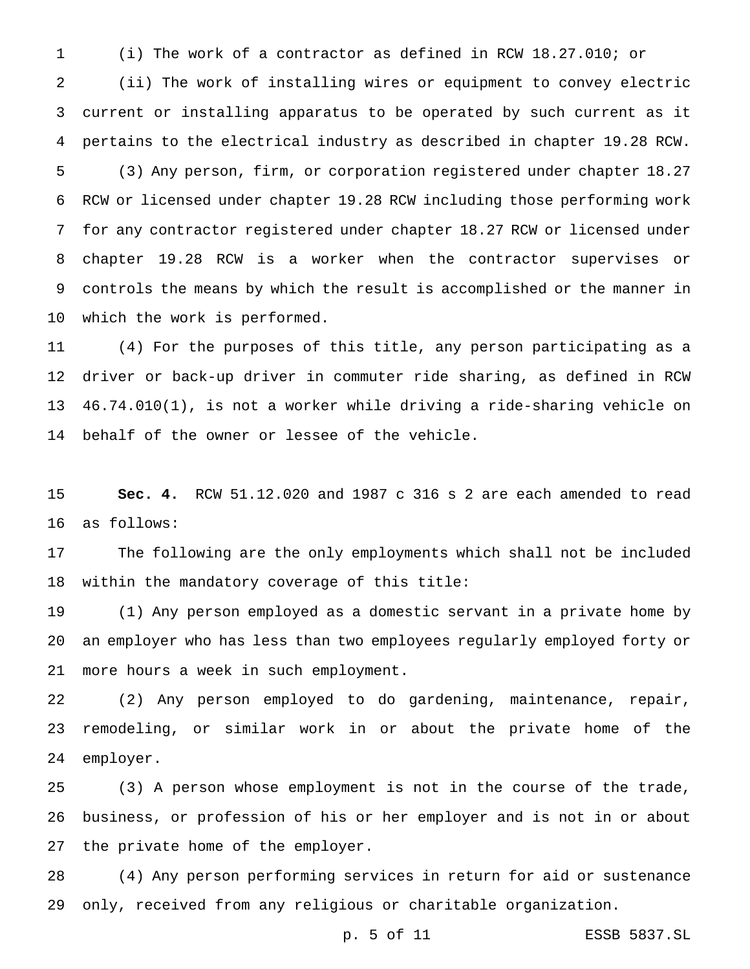(i) The work of a contractor as defined in RCW 18.27.010; or

 (ii) The work of installing wires or equipment to convey electric current or installing apparatus to be operated by such current as it pertains to the electrical industry as described in chapter 19.28 RCW.

 (3) Any person, firm, or corporation registered under chapter 18.27 RCW or licensed under chapter 19.28 RCW including those performing work for any contractor registered under chapter 18.27 RCW or licensed under chapter 19.28 RCW is a worker when the contractor supervises or controls the means by which the result is accomplished or the manner in which the work is performed.

 (4) For the purposes of this title, any person participating as a driver or back-up driver in commuter ride sharing, as defined in RCW 46.74.010(1), is not a worker while driving a ride-sharing vehicle on behalf of the owner or lessee of the vehicle.

 **Sec. 4.** RCW 51.12.020 and 1987 c 316 s 2 are each amended to read as follows:

 The following are the only employments which shall not be included within the mandatory coverage of this title:

 (1) Any person employed as a domestic servant in a private home by an employer who has less than two employees regularly employed forty or more hours a week in such employment.

 (2) Any person employed to do gardening, maintenance, repair, remodeling, or similar work in or about the private home of the employer.

 (3) A person whose employment is not in the course of the trade, business, or profession of his or her employer and is not in or about the private home of the employer.

 (4) Any person performing services in return for aid or sustenance only, received from any religious or charitable organization.

p. 5 of 11 ESSB 5837.SL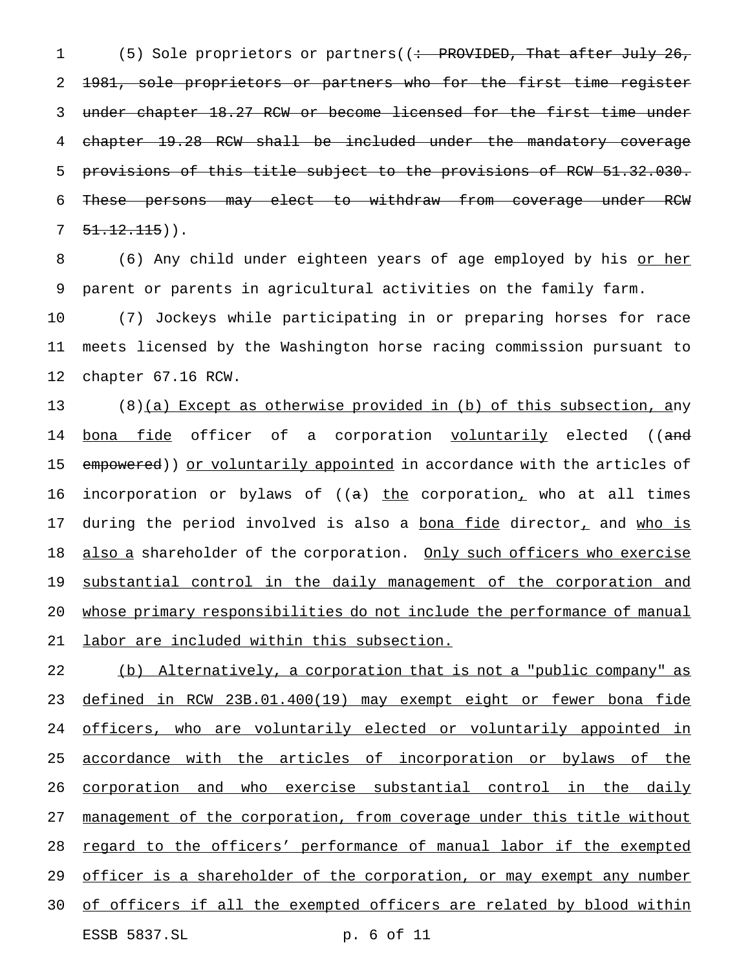1 (5) Sole proprietors or partners((: PROVIDED, That after July 26, 2 <del>1981, sole proprietors or partners who for the first time register</del> 3 under chapter 18.27 RCW or become licensed for the first time under 4 chapter 19.28 RCW shall be included under the mandatory coverage 5 provisions of this title subject to the provisions of RCW 51.32.030. 6 These persons may elect to withdraw from coverage under RCW  $7 \quad 51.12.115)$ ).

8 (6) Any child under eighteen years of age employed by his <u>or her</u> 9 parent or parents in agricultural activities on the family farm.

10 (7) Jockeys while participating in or preparing horses for race 11 meets licensed by the Washington horse racing commission pursuant to 12 chapter 67.16 RCW.

 $13$  (8)(a) Except as otherwise provided in (b) of this subsection, any 14 <u>bona fide</u> officer of a corporation <u>voluntarily</u> elected ((<del>and</del> 15 empowered)) or voluntarily appointed in accordance with the articles of 16 incorporation or bylaws of  $((a)$  the corporation, who at all times 17 during the period involved is also a bona fide director, and who is 18 also a shareholder of the corporation. Only such officers who exercise 19 substantial control in the daily management of the corporation and 20 whose primary responsibilities do not include the performance of manual 21 labor are included within this subsection.

22 (b) Alternatively, a corporation that is not a "public company" as 23 defined in RCW 23B.01.400(19) may exempt eight or fewer bona fide 24 officers, who are voluntarily elected or voluntarily appointed in 25 accordance with the articles of incorporation or bylaws of the 26 corporation and who exercise substantial control in the daily 27 management of the corporation, from coverage under this title without 28 regard to the officers' performance of manual labor if the exempted 29 officer is a shareholder of the corporation, or may exempt any number 30 of officers if all the exempted officers are related by blood within ESSB 5837.SL p. 6 of 11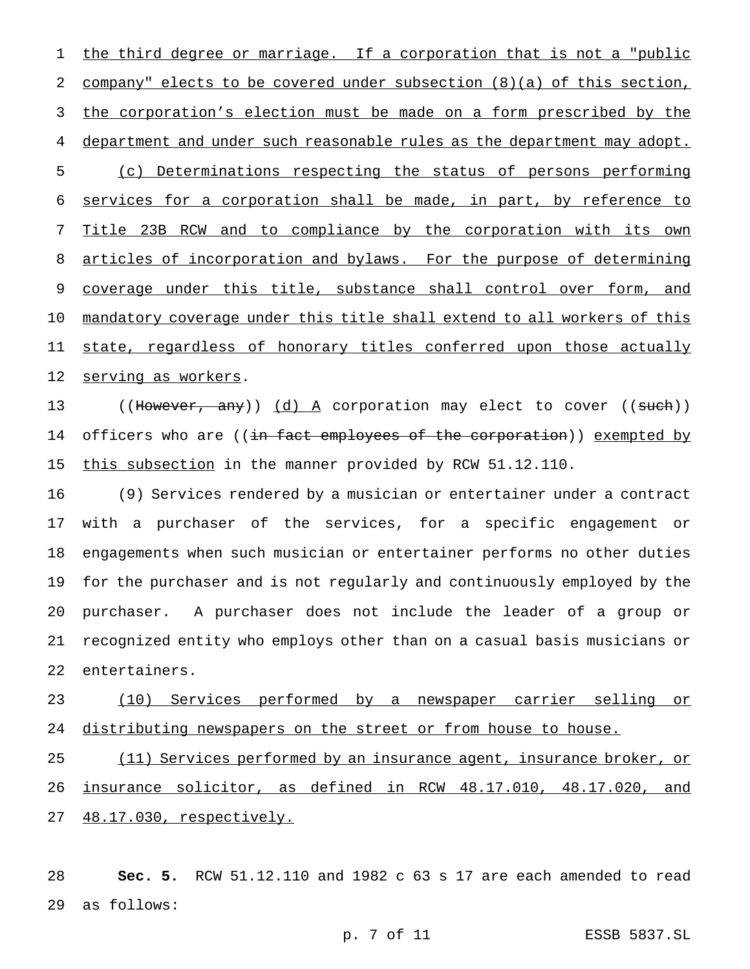1 the third degree or marriage. If a corporation that is not a "public company" elects to be covered under subsection (8)(a) of this section, the corporation's election must be made on a form prescribed by the department and under such reasonable rules as the department may adopt. (c) Determinations respecting the status of persons performing services for a corporation shall be made, in part, by reference to Title 23B RCW and to compliance by the corporation with its own articles of incorporation and bylaws. For the purpose of determining 9 coverage under this title, substance shall control over form, and mandatory coverage under this title shall extend to all workers of this state, regardless of honorary titles conferred upon those actually serving as workers.

13 ((However, any)) (d) A corporation may elect to cover ((such)) 14 officers who are ((<del>in fact employees of the corporation</del>)) <u>exempted by</u> 15 this subsection in the manner provided by RCW 51.12.110.

 (9) Services rendered by a musician or entertainer under a contract with a purchaser of the services, for a specific engagement or engagements when such musician or entertainer performs no other duties for the purchaser and is not regularly and continuously employed by the purchaser. A purchaser does not include the leader of a group or recognized entity who employs other than on a casual basis musicians or entertainers.

 (10) Services performed by a newspaper carrier selling or 24 distributing newspapers on the street or from house to house.

25 (11) Services performed by an insurance agent, insurance broker, or insurance solicitor, as defined in RCW 48.17.010, 48.17.020, and 48.17.030, respectively.

 **Sec. 5.** RCW 51.12.110 and 1982 c 63 s 17 are each amended to read as follows: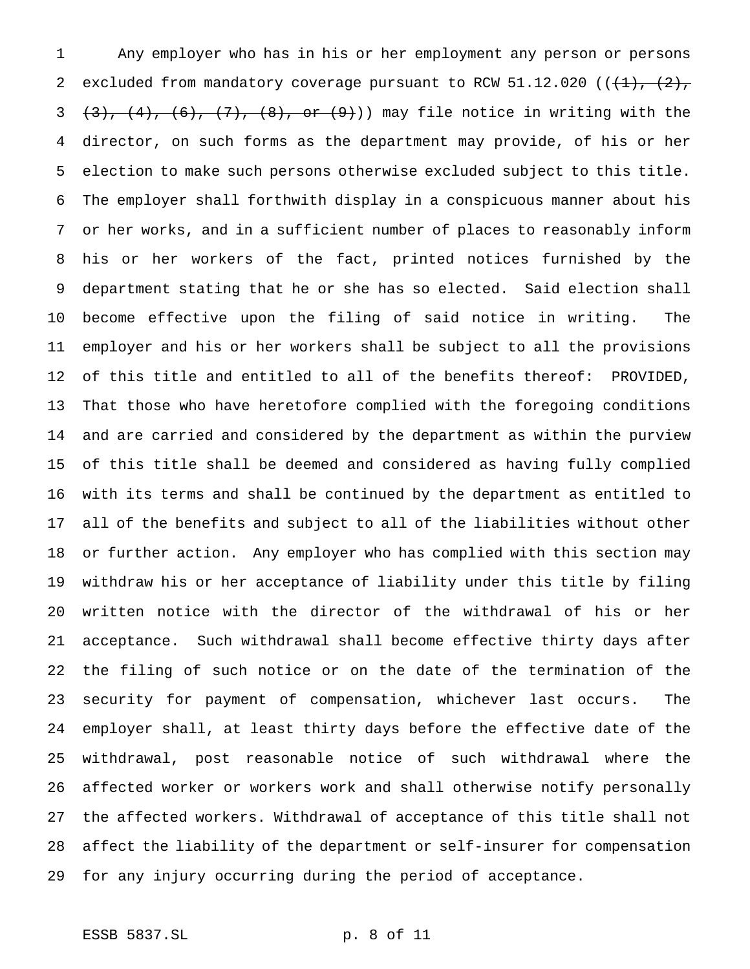Any employer who has in his or her employment any person or persons 2 excluded from mandatory coverage pursuant to RCW 51.12.020 ( $(\frac{1}{1}, \frac{2}{7})$  $(3)$ ,  $(4)$ ,  $(6)$ ,  $(7)$ ,  $(8)$ , or  $(9)$ )) may file notice in writing with the director, on such forms as the department may provide, of his or her election to make such persons otherwise excluded subject to this title. The employer shall forthwith display in a conspicuous manner about his or her works, and in a sufficient number of places to reasonably inform his or her workers of the fact, printed notices furnished by the department stating that he or she has so elected. Said election shall become effective upon the filing of said notice in writing. The employer and his or her workers shall be subject to all the provisions of this title and entitled to all of the benefits thereof: PROVIDED, That those who have heretofore complied with the foregoing conditions and are carried and considered by the department as within the purview of this title shall be deemed and considered as having fully complied with its terms and shall be continued by the department as entitled to all of the benefits and subject to all of the liabilities without other or further action. Any employer who has complied with this section may withdraw his or her acceptance of liability under this title by filing written notice with the director of the withdrawal of his or her acceptance. Such withdrawal shall become effective thirty days after the filing of such notice or on the date of the termination of the security for payment of compensation, whichever last occurs. The employer shall, at least thirty days before the effective date of the withdrawal, post reasonable notice of such withdrawal where the affected worker or workers work and shall otherwise notify personally the affected workers. Withdrawal of acceptance of this title shall not affect the liability of the department or self-insurer for compensation for any injury occurring during the period of acceptance.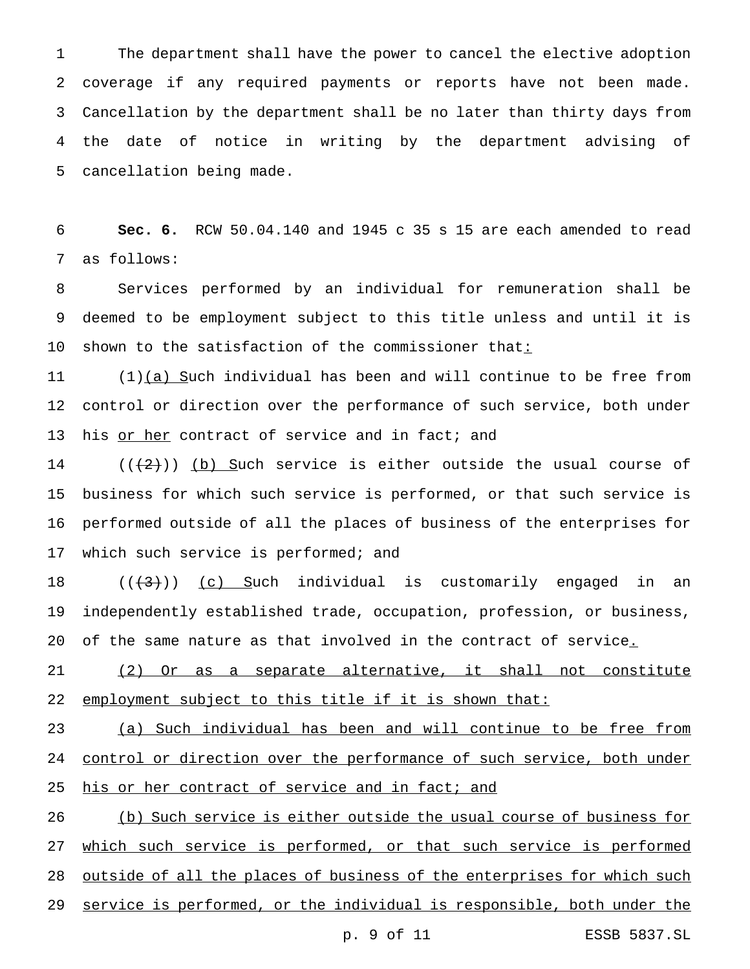The department shall have the power to cancel the elective adoption coverage if any required payments or reports have not been made. Cancellation by the department shall be no later than thirty days from the date of notice in writing by the department advising of cancellation being made.

 **Sec. 6.** RCW 50.04.140 and 1945 c 35 s 15 are each amended to read as follows:

 Services performed by an individual for remuneration shall be deemed to be employment subject to this title unless and until it is 10 shown to the satisfaction of the commissioner that:

 $(1)(a)$  Such individual has been and will continue to be free from control or direction over the performance of such service, both under 13 his or her contract of service and in fact; and

 $((2))$  (b) Such service is either outside the usual course of business for which such service is performed, or that such service is performed outside of all the places of business of the enterprises for 17 which such service is performed; and

 $((+3))$  (c) Such individual is customarily engaged in an independently established trade, occupation, profession, or business, 20 of the same nature as that involved in the contract of service.

 (2) Or as a separate alternative, it shall not constitute 22 employment subject to this title if it is shown that:

 (a) Such individual has been and will continue to be free from 24 control or direction over the performance of such service, both under 25 his or her contract of service and in fact; and

 (b) Such service is either outside the usual course of business for 27 which such service is performed, or that such service is performed outside of all the places of business of the enterprises for which such service is performed, or the individual is responsible, both under the

p. 9 of 11 ESSB 5837.SL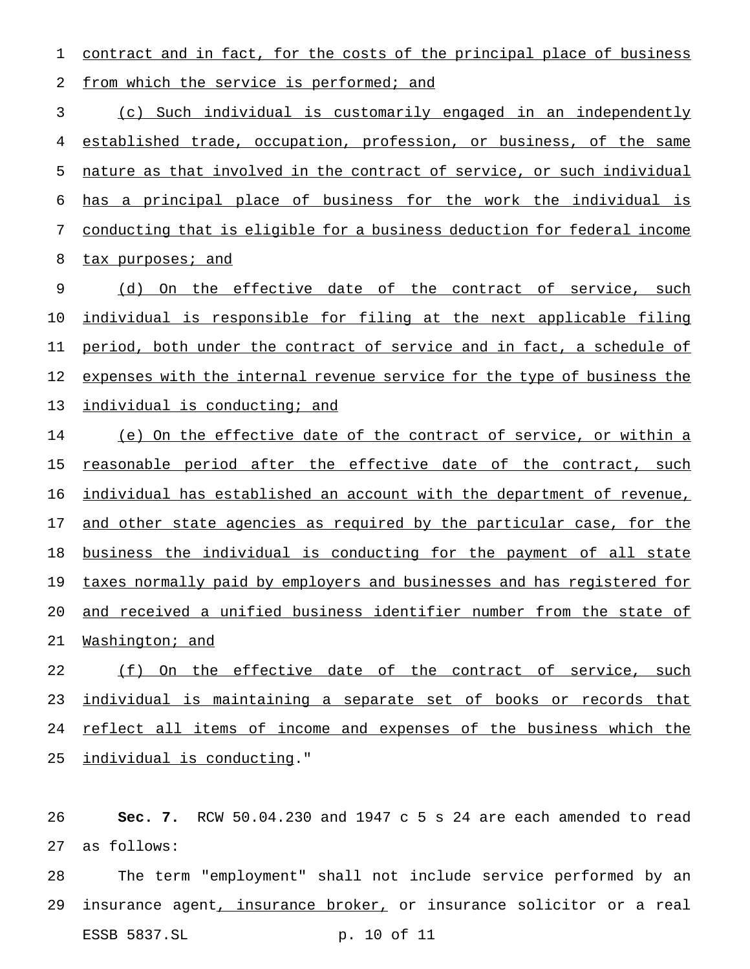contract and in fact, for the costs of the principal place of business 2 from which the service is performed; and

 (c) Such individual is customarily engaged in an independently established trade, occupation, profession, or business, of the same nature as that involved in the contract of service, or such individual has a principal place of business for the work the individual is conducting that is eligible for a business deduction for federal income 8 tax purposes; and

9 (d) On the effective date of the contract of service, such individual is responsible for filing at the next applicable filing period, both under the contract of service and in fact, a schedule of 12 expenses with the internal revenue service for the type of business the individual is conducting; and

 (e) On the effective date of the contract of service, or within a 15 reasonable period after the effective date of the contract, such individual has established an account with the department of revenue, 17 and other state agencies as required by the particular case, for the business the individual is conducting for the payment of all state 19 taxes normally paid by employers and businesses and has registered for and received a unified business identifier number from the state of Washington; and

 (f) On the effective date of the contract of service, such individual is maintaining a separate set of books or records that reflect all items of income and expenses of the business which the individual is conducting."

 **Sec. 7.** RCW 50.04.230 and 1947 c 5 s 24 are each amended to read as follows:

 The term "employment" shall not include service performed by an 29 insurance agent, insurance broker, or insurance solicitor or a real ESSB 5837.SL p. 10 of 11